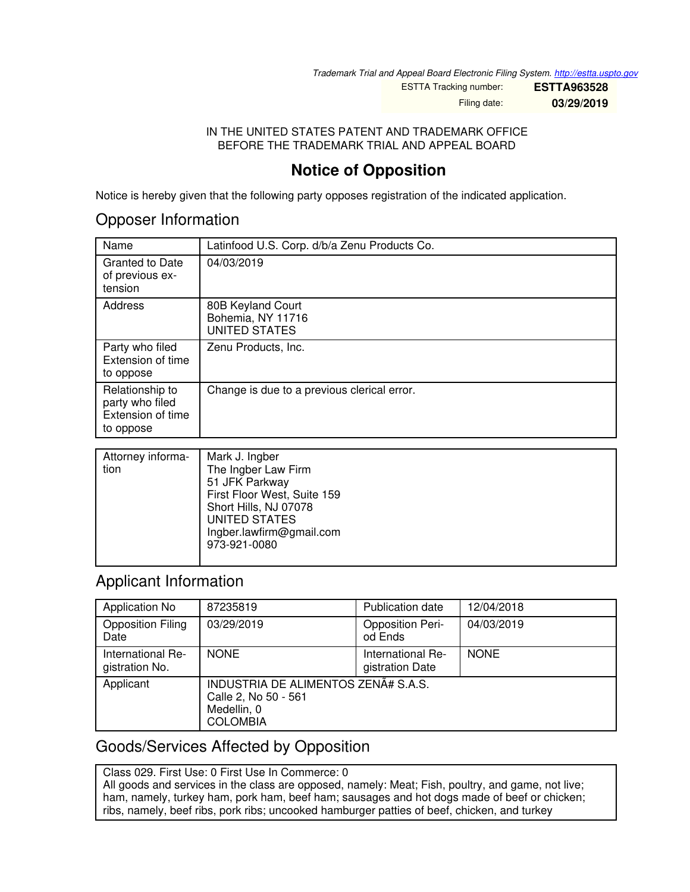*Trademark Trial and Appeal Board Electronic Filing System. <http://estta.uspto.gov>*

ESTTA Tracking number: **ESTTA963528** Filing date: **03/29/2019**

IN THE UNITED STATES PATENT AND TRADEMARK OFFICE BEFORE THE TRADEMARK TRIAL AND APPEAL BOARD

## **Notice of Opposition**

Notice is hereby given that the following party opposes registration of the indicated application.

### Opposer Information

| Name                                                                 | Latinfood U.S. Corp. d/b/a Zenu Products Co.                   |
|----------------------------------------------------------------------|----------------------------------------------------------------|
| <b>Granted to Date</b><br>of previous ex-<br>tension                 | 04/03/2019                                                     |
| Address                                                              | 80B Keyland Court<br>Bohemia, NY 11716<br><b>UNITED STATES</b> |
| Party who filed<br>Extension of time<br>to oppose                    | Zenu Products, Inc.                                            |
| Relationship to<br>party who filed<br>Extension of time<br>to oppose | Change is due to a previous clerical error.                    |

| Attorney informa-<br>tion | Mark J. Ingber<br>The Ingber Law Firm<br>51 JFK Parkway                                                           |
|---------------------------|-------------------------------------------------------------------------------------------------------------------|
|                           | First Floor West, Suite 159<br>Short Hills, NJ 07078<br>UNITED STATES<br>Ingber.lawfirm@gmail.com<br>973-921-0080 |

## Applicant Information

| Application No                      | 87235819                                                                                      | <b>Publication date</b>              | 12/04/2018  |
|-------------------------------------|-----------------------------------------------------------------------------------------------|--------------------------------------|-------------|
| <b>Opposition Filing</b><br>Date    | 03/29/2019                                                                                    | <b>Opposition Peri-</b><br>od Ends   | 04/03/2019  |
| International Re-<br>gistration No. | <b>NONE</b>                                                                                   | International Re-<br>gistration Date | <b>NONE</b> |
| Applicant                           | INDUSTRIA DE ALIMENTOS ZENÃ# S.A.S.<br>Calle 2, No 50 - 561<br>Medellin, 0<br><b>COLOMBIA</b> |                                      |             |

## Goods/Services Affected by Opposition

Class 029. First Use: 0 First Use In Commerce: 0

All goods and services in the class are opposed, namely: Meat; Fish, poultry, and game, not live; ham, namely, turkey ham, pork ham, beef ham; sausages and hot dogs made of beef or chicken; ribs, namely, beef ribs, pork ribs; uncooked hamburger patties of beef, chicken, and turkey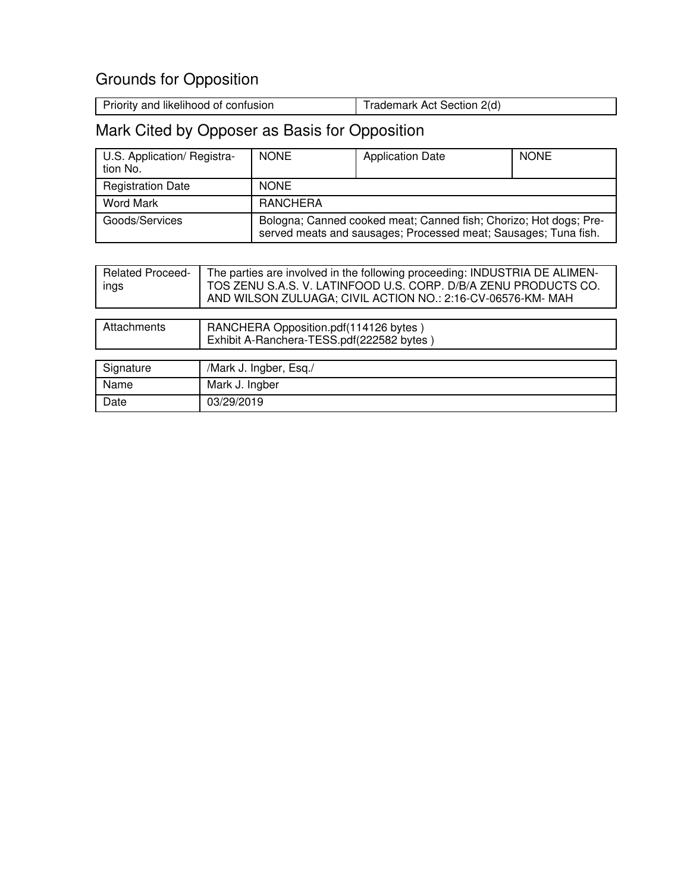# Grounds for Opposition

| Trademark Act Section 2(d) |
|----------------------------|
|                            |

# Mark Cited by Opposer as Basis for Opposition

| U.S. Application/ Registra-<br>tion No. | <b>NONE</b>                                                                                                                          | <b>Application Date</b> | <b>NONE</b> |
|-----------------------------------------|--------------------------------------------------------------------------------------------------------------------------------------|-------------------------|-------------|
| <b>Registration Date</b>                | <b>NONE</b>                                                                                                                          |                         |             |
| Word Mark                               | RANCHERA                                                                                                                             |                         |             |
| Goods/Services                          | Bologna; Canned cooked meat; Canned fish; Chorizo; Hot dogs; Pre-<br>served meats and sausages; Processed meat; Sausages; Tuna fish. |                         |             |

| <b>Related Proceed-</b><br>ings | The parties are involved in the following proceeding: INDUSTRIA DE ALIMEN-<br>TOS ZENU S.A.S. V. LATINFOOD U.S. CORP. D/B/A ZENU PRODUCTS CO.<br>AND WILSON ZULUAGA; CIVIL ACTION NO.: 2:16-CV-06576-KM- MAH |
|---------------------------------|--------------------------------------------------------------------------------------------------------------------------------------------------------------------------------------------------------------|
|                                 |                                                                                                                                                                                                              |
| Attachments                     | RANCHERA Opposition.pdf(114126 bytes)<br>Exhibit A-Ranchera-TESS.pdf(222582 bytes)                                                                                                                           |
|                                 |                                                                                                                                                                                                              |
| Signature                       | /Mark J. Ingber, Esq./                                                                                                                                                                                       |
| Name                            | Mark J. Ingber                                                                                                                                                                                               |
| Date                            | 03/29/2019                                                                                                                                                                                                   |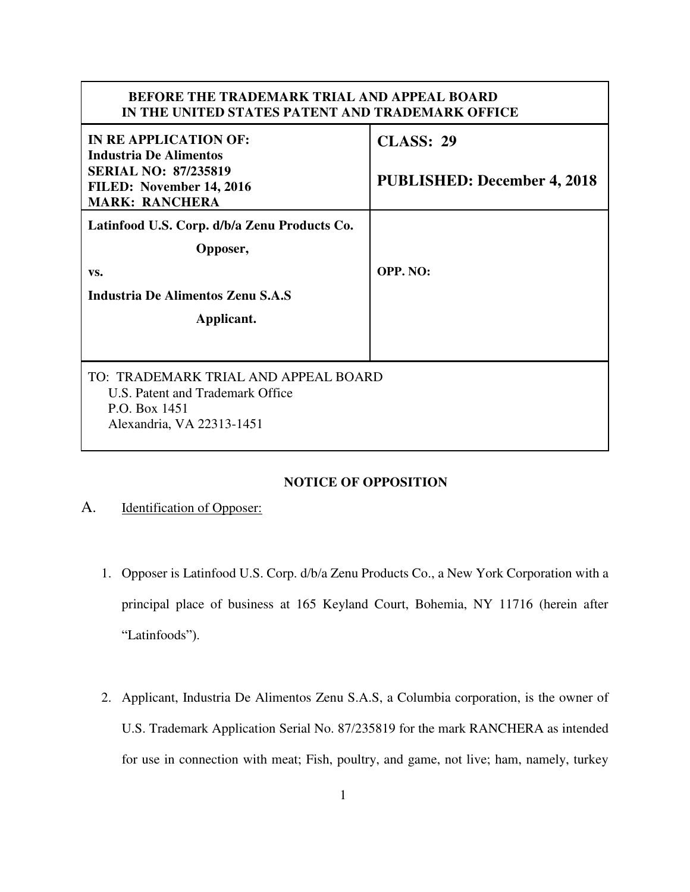#### **BEFORE THE TRADEMARK TRIAL AND APPEAL BOARD IN THE UNITED STATES PATENT AND TRADEMARK OFFICE**

| IN RE APPLICATION OF:<br><b>Industria De Alimentos</b>                                                                 | <b>CLASS: 29</b>                   |  |
|------------------------------------------------------------------------------------------------------------------------|------------------------------------|--|
| <b>SERIAL NO: 87/235819</b><br>FILED: November 14, 2016<br><b>MARK: RANCHERA</b>                                       | <b>PUBLISHED: December 4, 2018</b> |  |
| Latinfood U.S. Corp. d/b/a Zenu Products Co.                                                                           |                                    |  |
| Opposer,                                                                                                               |                                    |  |
| VS.                                                                                                                    | OPP. NO:                           |  |
| Industria De Alimentos Zenu S.A.S                                                                                      |                                    |  |
| Applicant.                                                                                                             |                                    |  |
|                                                                                                                        |                                    |  |
| TO: TRADEMARK TRIAL AND APPEAL BOARD<br>U.S. Patent and Trademark Office<br>P.O. Box 1451<br>Alexandria, VA 22313-1451 |                                    |  |

#### **NOTICE OF OPPOSITION**

#### A. Identification of Opposer:

- 1. Opposer is Latinfood U.S. Corp. d/b/a Zenu Products Co., a New York Corporation with a principal place of business at 165 Keyland Court, Bohemia, NY 11716 (herein after "Latinfoods").
- 2. Applicant, Industria De Alimentos Zenu S.A.S, a Columbia corporation, is the owner of U.S. Trademark Application Serial No. 87/235819 for the mark RANCHERA as intended for use in connection with meat; Fish, poultry, and game, not live; ham, namely, turkey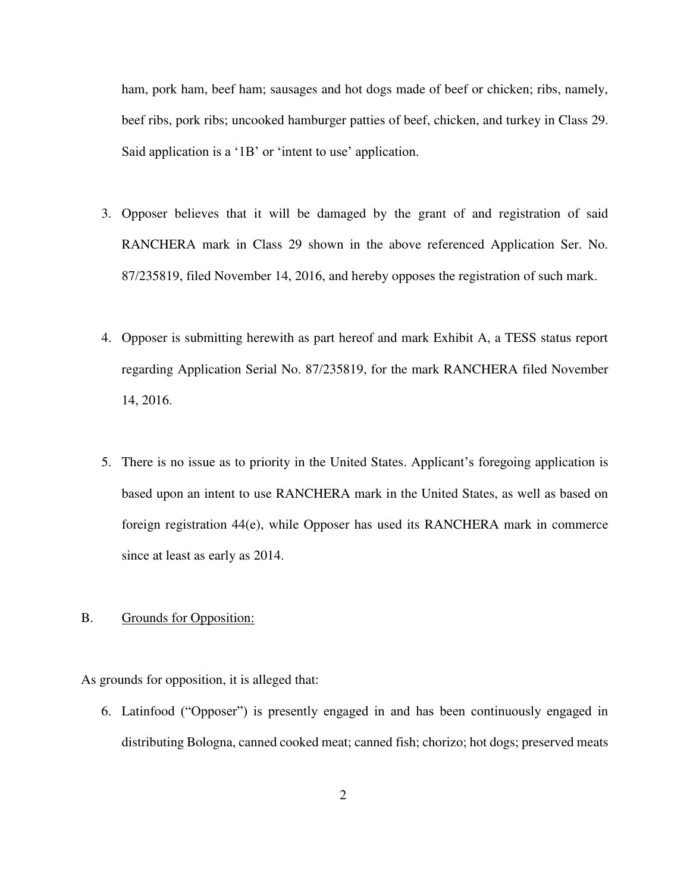ham, pork ham, beef ham; sausages and hot dogs made of beef or chicken; ribs, namely, beef ribs, pork ribs; uncooked hamburger patties of beef, chicken, and turkey in Class 29. Said application is a '1B' or 'intent to use' application.

- 3. Opposer believes that it will be damaged by the grant of and registration of said RANCHERA mark in Class 29 shown in the above referenced Application Ser. No. 87/235819, filed November 14, 2016, and hereby opposes the registration of such mark.
- 4. Opposer is submitting herewith as part hereof and mark Exhibit A, a TESS status report regarding Application Serial No. 87/235819, for the mark RANCHERA filed November 14, 2016.
- 5. There is no issue as to priority in the United States. Applicant's foregoing application is based upon an intent to use RANCHERA mark in the United States, as well as based on foreign registration 44(e), while Opposer has used its RANCHERA mark in commerce since at least as early as 2014.

#### B. Grounds for Opposition:

As grounds for opposition, it is alleged that:

6. Latinfood ("Opposer") is presently engaged in and has been continuously engaged in distributing Bologna, canned cooked meat; canned fish; chorizo; hot dogs; preserved meats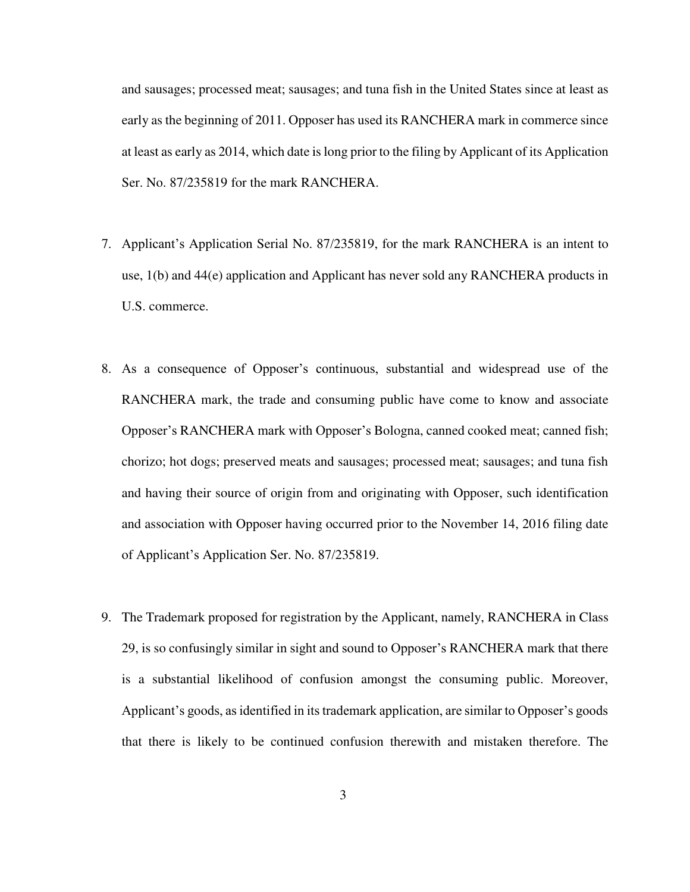and sausages; processed meat; sausages; and tuna fish in the United States since at least as early as the beginning of 2011. Opposer has used its RANCHERA mark in commerce since at least as early as 2014, which date is long prior to the filing by Applicant of its Application Ser. No. 87/235819 for the mark RANCHERA.

- 7. Applicant's Application Serial No. 87/235819, for the mark RANCHERA is an intent to use, 1(b) and 44(e) application and Applicant has never sold any RANCHERA products in U.S. commerce.
- 8. As a consequence of Opposer's continuous, substantial and widespread use of the RANCHERA mark, the trade and consuming public have come to know and associate Opposer's RANCHERA mark with Opposer's Bologna, canned cooked meat; canned fish; chorizo; hot dogs; preserved meats and sausages; processed meat; sausages; and tuna fish and having their source of origin from and originating with Opposer, such identification and association with Opposer having occurred prior to the November 14, 2016 filing date of Applicant's Application Ser. No. 87/235819.
- 9. The Trademark proposed for registration by the Applicant, namely, RANCHERA in Class 29, is so confusingly similar in sight and sound to Opposer's RANCHERA mark that there is a substantial likelihood of confusion amongst the consuming public. Moreover, Applicant's goods, as identified in its trademark application, are similar to Opposer's goods that there is likely to be continued confusion therewith and mistaken therefore. The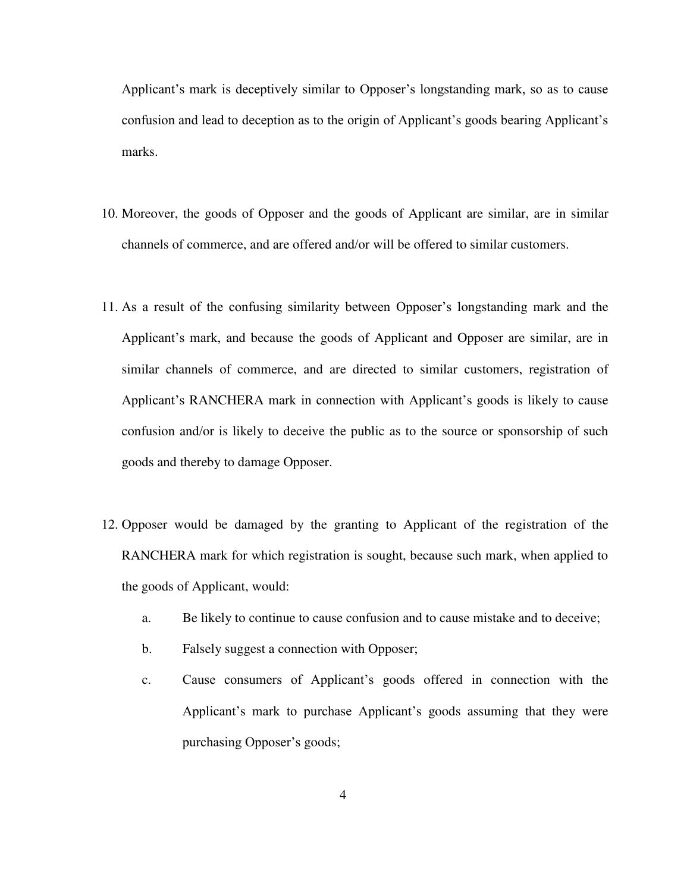Applicant's mark is deceptively similar to Opposer's longstanding mark, so as to cause confusion and lead to deception as to the origin of Applicant's goods bearing Applicant's marks.

- 10. Moreover, the goods of Opposer and the goods of Applicant are similar, are in similar channels of commerce, and are offered and/or will be offered to similar customers.
- 11. As a result of the confusing similarity between Opposer's longstanding mark and the Applicant's mark, and because the goods of Applicant and Opposer are similar, are in similar channels of commerce, and are directed to similar customers, registration of Applicant's RANCHERA mark in connection with Applicant's goods is likely to cause confusion and/or is likely to deceive the public as to the source or sponsorship of such goods and thereby to damage Opposer.
- 12. Opposer would be damaged by the granting to Applicant of the registration of the RANCHERA mark for which registration is sought, because such mark, when applied to the goods of Applicant, would:
	- a. Be likely to continue to cause confusion and to cause mistake and to deceive;
	- b. Falsely suggest a connection with Opposer;
	- c. Cause consumers of Applicant's goods offered in connection with the Applicant's mark to purchase Applicant's goods assuming that they were purchasing Opposer's goods;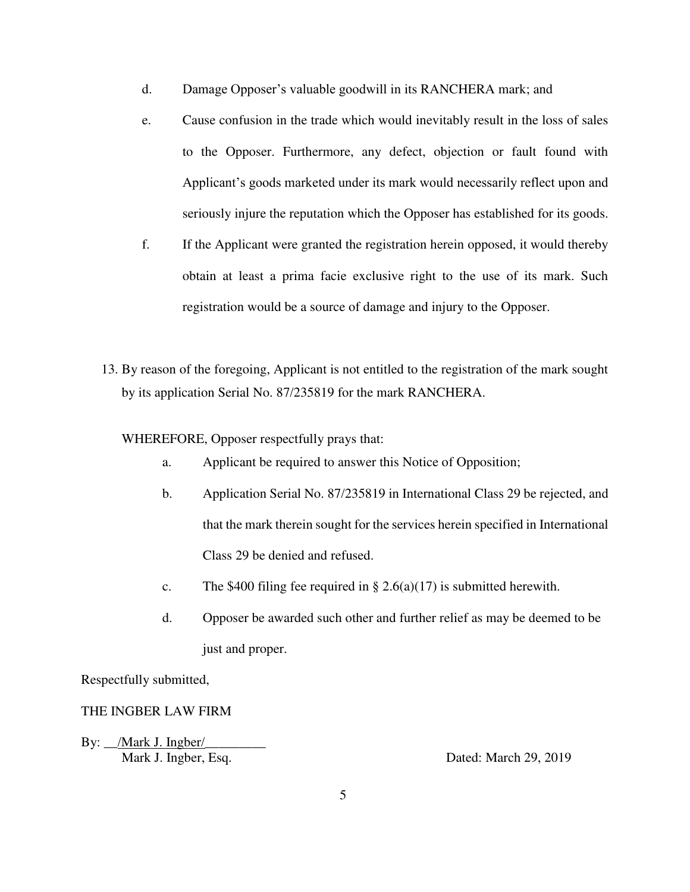- d. Damage Opposer's valuable goodwill in its RANCHERA mark; and
- e. Cause confusion in the trade which would inevitably result in the loss of sales to the Opposer. Furthermore, any defect, objection or fault found with Applicant's goods marketed under its mark would necessarily reflect upon and seriously injure the reputation which the Opposer has established for its goods.
- f. If the Applicant were granted the registration herein opposed, it would thereby obtain at least a prima facie exclusive right to the use of its mark. Such registration would be a source of damage and injury to the Opposer.
- 13. By reason of the foregoing, Applicant is not entitled to the registration of the mark sought by its application Serial No. 87/235819 for the mark RANCHERA.

WHEREFORE, Opposer respectfully prays that:

- a. Applicant be required to answer this Notice of Opposition;
- b. Application Serial No. 87/235819 in International Class 29 be rejected, and that the mark therein sought for the services herein specified in International Class 29 be denied and refused.
- c. The \$400 filing fee required in  $\S 2.6(a)(17)$  is submitted herewith.
- d. Opposer be awarded such other and further relief as may be deemed to be just and proper.

Respectfully submitted,

#### THE INGBER LAW FIRM

By: \_\_/Mark J. Ingber/ Mark J. Ingber, Esq. Same Communication and Dated: March 29, 2019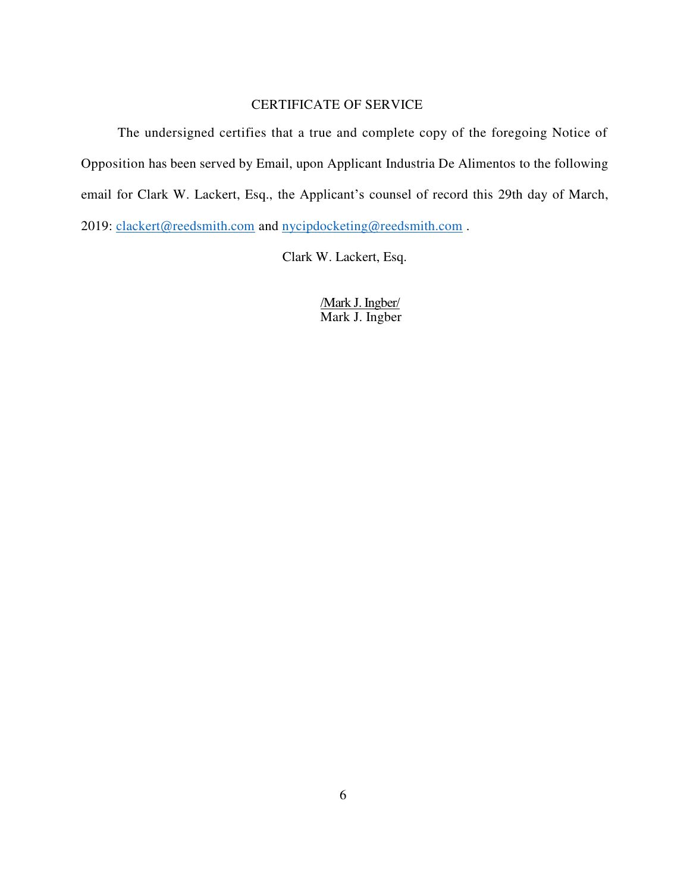#### CERTIFICATE OF SERVICE

The undersigned certifies that a true and complete copy of the foregoing Notice of Opposition has been served by Email, upon Applicant Industria De Alimentos to the following email for Clark W. Lackert, Esq., the Applicant's counsel of record this 29th day of March, 2019: [clackert@reedsmith.com](mailto:clackert@reedsmith.com) and nycipdocketing@reedsmith.com.

Clark W. Lackert, Esq.

/Mark J. Ingber/ Mark J. Ingber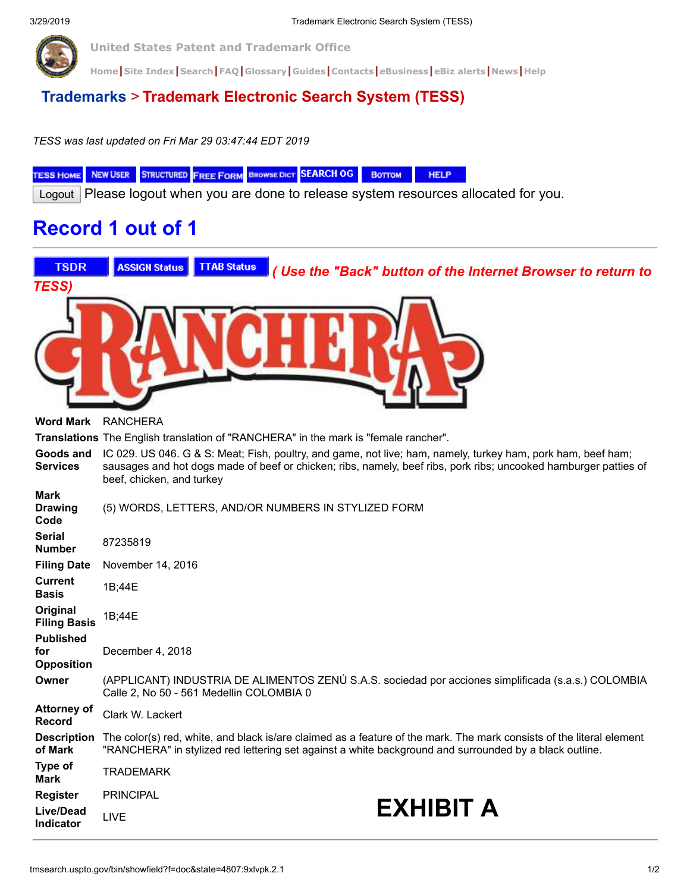**United States Patent and Trademark Office**

[Home](https://www.uspto.gov/index.html) [Site Index](https://www.uspto.gov/web/navaids/siteindx.htm) [Search](https://www.uspto.gov/main/sitesearch.htm) | [FAQ](https://www.uspto.gov/main/faq/index.html) | [Glossary](https://www.uspto.gov/main/glossary/index.html) | [Guides](https://www.uspto.gov/main/definitions.htm) | [Contacts](https://www.uspto.gov/main/contacts.htm) | e[Business](https://www.uspto.gov/ebc/indexebc.html) | [eBiz alerts](https://www.uspto.gov/helpdesk/status/status.htm) | [News](https://www.uspto.gov/main/newsandnotices.htm) | [Help](https://www.uspto.gov/web/menu/feedback.html)

### **[Trademarks](http://www.uspto.gov/main/trademarks.htm)** > **Trademark Electronic Search System (TESS)**

*TESS was last updated on Fri Mar 29 03:47:44 EDT 2019*

TESS HOME NEW USER STRUCTURED FREE FORM BROWSE DICT SEARCH OG HELP BOTTOM

Logout Please logout when you are done to release system resources allocated for you.

## **Record 1 out of 1**